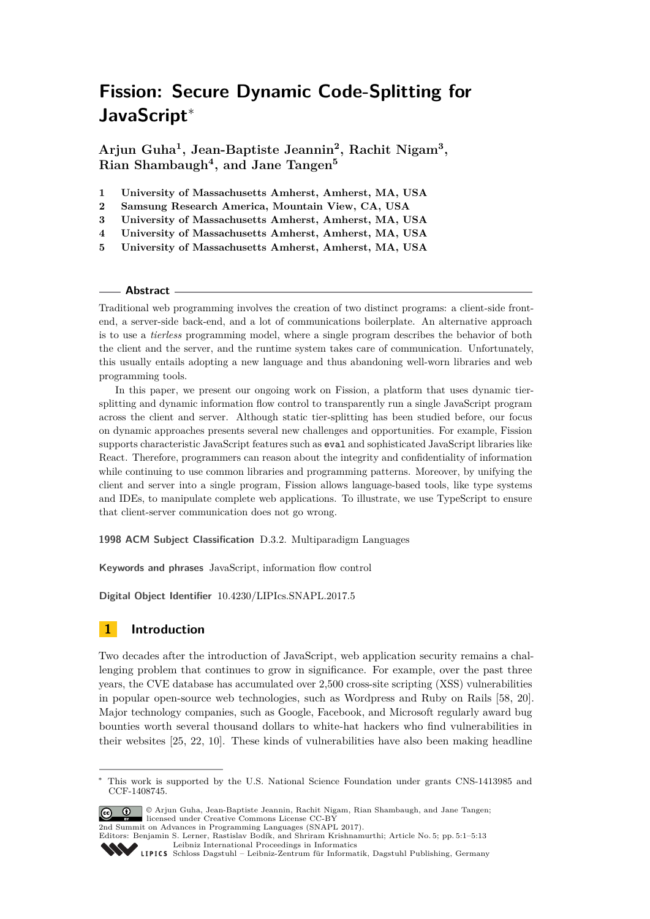# **Fission: Secure Dynamic Code-Splitting for JavaScript**<sup>∗</sup>

**Arjun Guha<sup>1</sup> , Jean-Baptiste Jeannin<sup>2</sup> , Rachit Nigam<sup>3</sup> , Rian Shambaugh<sup>4</sup> , and Jane Tangen<sup>5</sup>**

- **1 University of Massachusetts Amherst, Amherst, MA, USA**
- **2 Samsung Research America, Mountain View, CA, USA**
- **3 University of Massachusetts Amherst, Amherst, MA, USA**
- **4 University of Massachusetts Amherst, Amherst, MA, USA**
- **5 University of Massachusetts Amherst, Amherst, MA, USA**

## **Abstract**

Traditional web programming involves the creation of two distinct programs: a client-side frontend, a server-side back-end, and a lot of communications boilerplate. An alternative approach is to use a *tierless* programming model, where a single program describes the behavior of both the client and the server, and the runtime system takes care of communication. Unfortunately, this usually entails adopting a new language and thus abandoning well-worn libraries and web programming tools.

In this paper, we present our ongoing work on Fission, a platform that uses dynamic tiersplitting and dynamic information flow control to transparently run a single JavaScript program across the client and server. Although static tier-splitting has been studied before, our focus on dynamic approaches presents several new challenges and opportunities. For example, Fission supports characteristic JavaScript features such as eval and sophisticated JavaScript libraries like React. Therefore, programmers can reason about the integrity and confidentiality of information while continuing to use common libraries and programming patterns. Moreover, by unifying the client and server into a single program, Fission allows language-based tools, like type systems and IDEs, to manipulate complete web applications. To illustrate, we use TypeScript to ensure that client-server communication does not go wrong.

**1998 ACM Subject Classification** D.3.2. Multiparadigm Languages

**Keywords and phrases** JavaScript, information flow control

**Digital Object Identifier** [10.4230/LIPIcs.SNAPL.2017.5](http://dx.doi.org/10.4230/LIPIcs.SNAPL.2017.5)

## **1 Introduction**

Two decades after the introduction of JavaScript, web application security remains a challenging problem that continues to grow in significance. For example, over the past three years, the CVE database has accumulated over 2,500 cross-site scripting (XSS) vulnerabilities in popular open-source web technologies, such as Wordpress and Ruby on Rails [\[58,](#page-12-0) [20\]](#page-10-0). Major technology companies, such as Google, Facebook, and Microsoft regularly award bug bounties worth several thousand dollars to white-hat hackers who find vulnerabilities in their websites [\[25,](#page-11-0) [22,](#page-10-1) [10\]](#page-10-2). These kinds of vulnerabilities have also been making headline

This work is supported by the U.S. National Science Foundation under grants CNS-1413985 and CCF-1408745.



<sup>©</sup> Arjun Guha, Jean-Baptiste Jeannin, Rachit Nigam, Rian Shambaugh, and Jane Tangen; licensed under Creative Commons License CC-BY 2nd Summit on Advances in Programming Languages (SNAPL 2017).

Editors: Benjamin S. Lerner, Rastislav Bodík, and Shriram Krishnamurthi; Article No. 5; pp. 5:1–5[:13](#page-12-1) [Leibniz International Proceedings in Informatics](http://www.dagstuhl.de/lipics/) [Schloss Dagstuhl – Leibniz-Zentrum für Informatik, Dagstuhl Publishing, Germany](http://www.dagstuhl.de)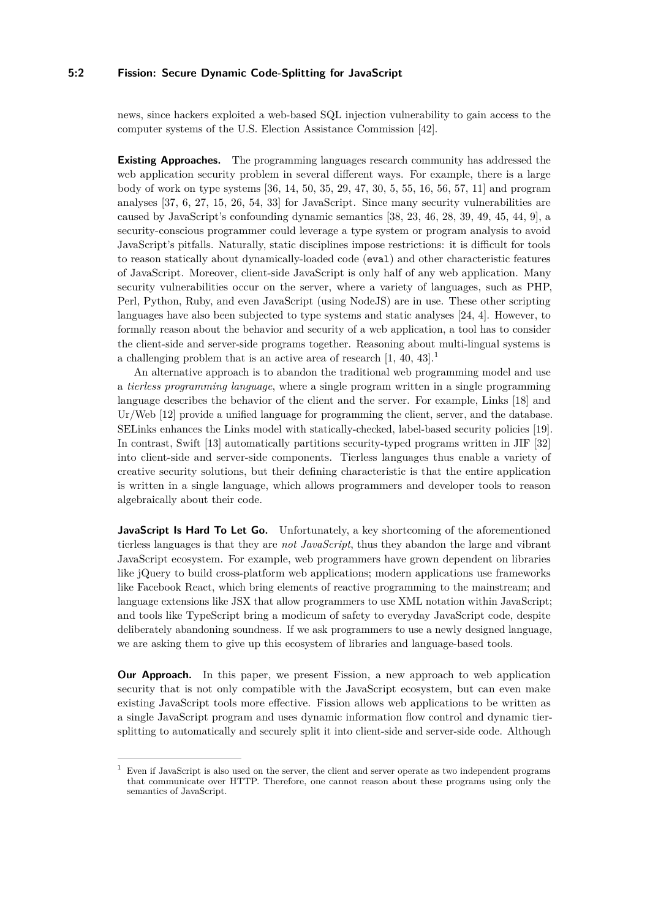## **5:2 Fission: Secure Dynamic Code-Splitting for JavaScript**

news, since hackers exploited a web-based SQL injection vulnerability to gain access to the computer systems of the U.S. Election Assistance Commission [\[42\]](#page-11-1).

**Existing Approaches.** The programming languages research community has addressed the web application security problem in several different ways. For example, there is a large body of work on type systems [\[36,](#page-11-2) [14,](#page-10-3) [50,](#page-12-2) [35,](#page-11-3) [29,](#page-11-4) [47,](#page-12-3) [30,](#page-11-5) [5,](#page-9-0) [55,](#page-12-4) [16,](#page-10-4) [56,](#page-12-5) [57,](#page-12-6) [11\]](#page-10-5) and program analyses [\[37,](#page-11-6) [6,](#page-9-1) [27,](#page-11-7) [15,](#page-10-6) [26,](#page-11-8) [54,](#page-12-7) [33\]](#page-11-9) for JavaScript. Since many security vulnerabilities are caused by JavaScript's confounding dynamic semantics [\[38,](#page-11-10) [23,](#page-10-7) [46,](#page-12-8) [28,](#page-11-11) [39,](#page-11-12) [49,](#page-12-9) [45,](#page-12-10) [44,](#page-11-13) [9\]](#page-10-8), a security-conscious programmer could leverage a type system or program analysis to avoid JavaScript's pitfalls. Naturally, static disciplines impose restrictions: it is difficult for tools to reason statically about dynamically-loaded code (eval) and other characteristic features of JavaScript. Moreover, client-side JavaScript is only half of any web application. Many security vulnerabilities occur on the server, where a variety of languages, such as PHP, Perl, Python, Ruby, and even JavaScript (using NodeJS) are in use. These other scripting languages have also been subjected to type systems and static analyses [\[24,](#page-10-9) [4\]](#page-9-2). However, to formally reason about the behavior and security of a web application, a tool has to consider the client-side and server-side programs together. Reasoning about multi-lingual systems is a challenging problem that is an active area of research  $[1, 40, 43]$  $[1, 40, 43]$  $[1, 40, 43]$ .<sup>[1](#page-1-0)</sup>

An alternative approach is to abandon the traditional web programming model and use a *tierless programming language*, where a single program written in a single programming language describes the behavior of the client and the server. For example, Links [\[18\]](#page-10-10) and Ur/Web [\[12\]](#page-10-11) provide a unified language for programming the client, server, and the database. SELinks enhances the Links model with statically-checked, label-based security policies [\[19\]](#page-10-12). In contrast, Swift [\[13\]](#page-10-13) automatically partitions security-typed programs written in JIF [\[32\]](#page-11-16) into client-side and server-side components. Tierless languages thus enable a variety of creative security solutions, but their defining characteristic is that the entire application is written in a single language, which allows programmers and developer tools to reason algebraically about their code.

JavaScript Is Hard To Let Go. Unfortunately, a key shortcoming of the aforementioned tierless languages is that they are *not JavaScript*, thus they abandon the large and vibrant JavaScript ecosystem. For example, web programmers have grown dependent on libraries like jQuery to build cross-platform web applications; modern applications use frameworks like Facebook React, which bring elements of reactive programming to the mainstream; and language extensions like JSX that allow programmers to use XML notation within JavaScript; and tools like TypeScript bring a modicum of safety to everyday JavaScript code, despite deliberately abandoning soundness. If we ask programmers to use a newly designed language, we are asking them to give up this ecosystem of libraries and language-based tools.

**Our Approach.** In this paper, we present Fission, a new approach to web application security that is not only compatible with the JavaScript ecosystem, but can even make existing JavaScript tools more effective. Fission allows web applications to be written as a single JavaScript program and uses dynamic information flow control and dynamic tiersplitting to automatically and securely split it into client-side and server-side code. Although

<span id="page-1-0"></span><sup>1</sup> Even if JavaScript is also used on the server, the client and server operate as two independent programs that communicate over HTTP. Therefore, one cannot reason about these programs using only the semantics of JavaScript.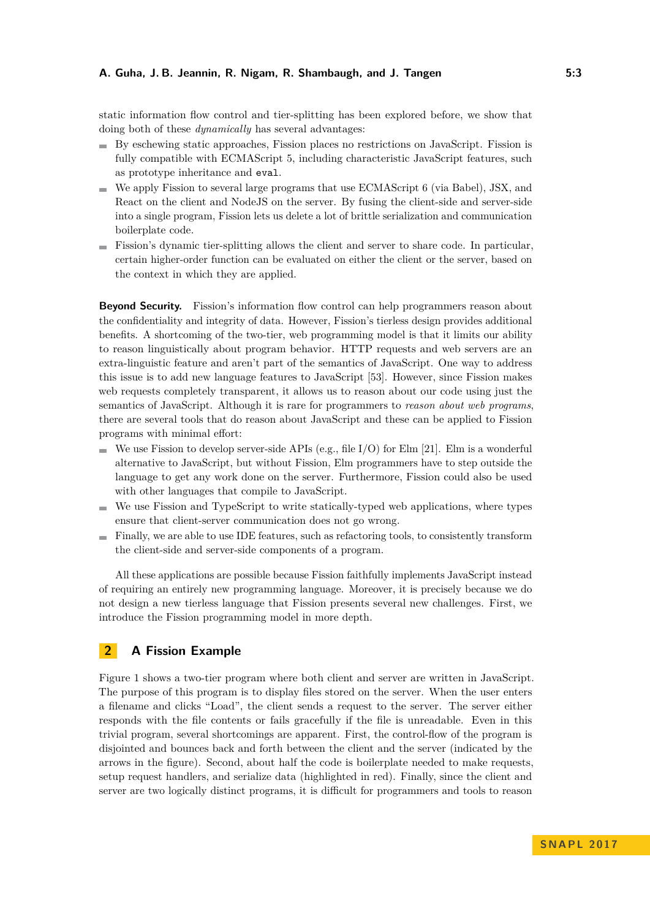static information flow control and tier-splitting has been explored before, we show that doing both of these *dynamically* has several advantages:

- By eschewing static approaches, Fission places no restrictions on JavaScript. Fission is fully compatible with ECMAScript 5, including characteristic JavaScript features, such as prototype inheritance and eval.
- We apply Fission to several large programs that use ECMAScript 6 (via Babel), JSX, and React on the client and NodeJS on the server. By fusing the client-side and server-side into a single program, Fission lets us delete a lot of brittle serialization and communication boilerplate code.
- Fission's dynamic tier-splitting allows the client and server to share code. In particular, certain higher-order function can be evaluated on either the client or the server, based on the context in which they are applied.

**Beyond Security.** Fission's information flow control can help programmers reason about the confidentiality and integrity of data. However, Fission's tierless design provides additional benefits. A shortcoming of the two-tier, web programming model is that it limits our ability to reason linguistically about program behavior. HTTP requests and web servers are an extra-linguistic feature and aren't part of the semantics of JavaScript. One way to address this issue is to add new language features to JavaScript [\[53\]](#page-12-11). However, since Fission makes web requests completely transparent, it allows us to reason about our code using just the semantics of JavaScript. Although it is rare for programmers to *reason about web programs*, there are several tools that do reason about JavaScript and these can be applied to Fission programs with minimal effort:

- We use Fission to develop server-side APIs (e.g., file I/O) for Elm [\[21\]](#page-10-14). Elm is a wonderful alternative to JavaScript, but without Fission, Elm programmers have to step outside the language to get any work done on the server. Furthermore, Fission could also be used with other languages that compile to JavaScript.
- We use Fission and TypeScript to write statically-typed web applications, where types ensure that client-server communication does not go wrong.
- Finally, we are able to use IDE features, such as refactoring tools, to consistently transform the client-side and server-side components of a program.

All these applications are possible because Fission faithfully implements JavaScript instead of requiring an entirely new programming language. Moreover, it is precisely because we do not design a new tierless language that Fission presents several new challenges. First, we introduce the Fission programming model in more depth.

## **2 A Fission Example**

Figure [1](#page-3-0) shows a two-tier program where both client and server are written in JavaScript. The purpose of this program is to display files stored on the server. When the user enters a filename and clicks "Load", the client sends a request to the server. The server either responds with the file contents or fails gracefully if the file is unreadable. Even in this trivial program, several shortcomings are apparent. First, the control-flow of the program is disjointed and bounces back and forth between the client and the server (indicated by the arrows in the figure). Second, about half the code is boilerplate needed to make requests, setup request handlers, and serialize data (highlighted in red). Finally, since the client and server are two logically distinct programs, it is difficult for programmers and tools to reason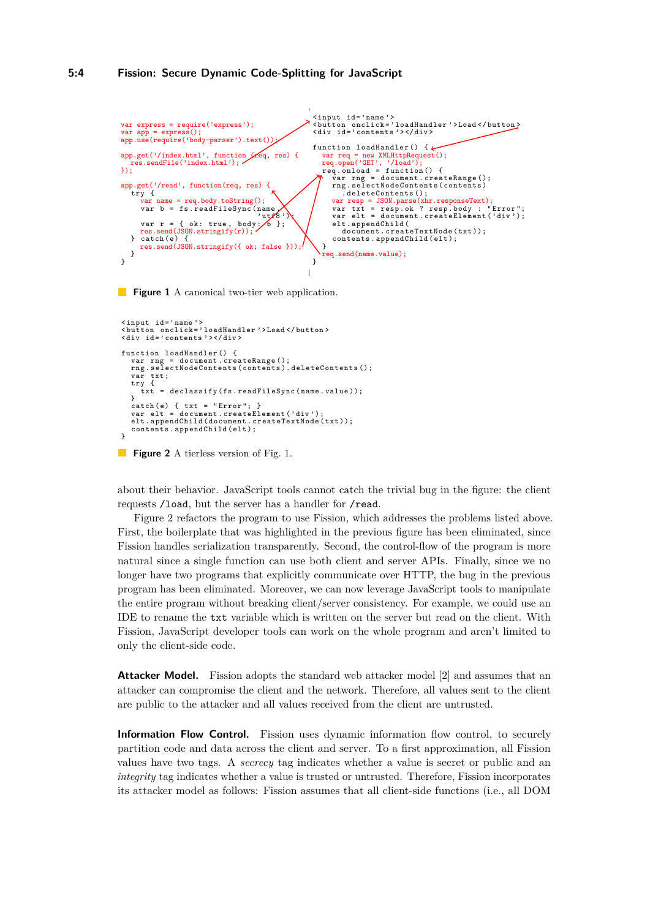#### **5:4 Fission: Secure Dynamic Code-Splitting for JavaScript**

```
var express = require('express');
var app = express();
app.use(require('body-parser').text());
app.get('/index.html', function (req, res) {
   res.sendFile('index.html');
\mathcal{D};
app.get('/read', function(req, res) {<br>try {
       var name = req.body.toString();
       var h = fs.readFileSync(name)
                                                \frac{1}{\sqrt{6}} :
       var r = \{ \text{ ok: true, body: } \}res.send(JSON.stringify(r));
} catch (e) {
res.send(JSON.stringify({ ok; false }));
   }
}
                                                                   \langleinput id='name'>
                                                                   < button onclick =' loadHandler '> Load </ button >
< div id =' contents ' > </ div >
                                                                   function loadHandler () { \epsilonvar req = new XMLHttpRequest();<br>req.open('GET', '/load');<br>req.onload = function() {<br>' var rng = document.createRange();
                                                                          rng . selectNodeContents ( contents )
                                                                             . deleteContents ();
                                                                          var resp = JSON.parse(xhr.responseText);
                                                                          var txt = resp . ok ? resp . body : " Error ";
var elt = document . createElement (' div ');
elt . appendChild (
                                                                             document.createTextNode(txt));
                                                                          contents.appendChild(elt);
                                                                      }
                                                                       .<br>req.send(name.value);
                                                                   }
```
**Figure 1** A canonical two-tier web application.

```
\langleinput id='name'>
 < button onclick =' loadHandler '> Load </ button >
< div id =' contents ' > </ div >
 function loadHandler () {
    var rng = document . createRange ();
rng . selectNodeContents ( contents ). deleteContents ();
    var txt ;
try {
      txt = declassify ( fs . readFileSync ( name . value ));
    }
catch (e) { txt = " Error "; }
   var elt = document.createElement('div');
    elt . appendChild ( document . createTextNode ( txt ));
contents . appendChild ( elt );
}
Figure 2 1.
```
about their behavior. JavaScript tools cannot catch the trivial bug in the figure: the client requests /load, but the server has a handler for /read.

Figure [2](#page-3-1) refactors the program to use Fission, which addresses the problems listed above. First, the boilerplate that was highlighted in the previous figure has been eliminated, since Fission handles serialization transparently. Second, the control-flow of the program is more natural since a single function can use both client and server APIs. Finally, since we no longer have two programs that explicitly communicate over HTTP, the bug in the previous program has been eliminated. Moreover, we can now leverage JavaScript tools to manipulate the entire program without breaking client/server consistency. For example, we could use an IDE to rename the txt variable which is written on the server but read on the client. With Fission, JavaScript developer tools can work on the whole program and aren't limited to only the client-side code.

**Attacker Model.** Fission adopts the standard web attacker model [\[2\]](#page-9-4) and assumes that an attacker can compromise the client and the network. Therefore, all values sent to the client are public to the attacker and all values received from the client are untrusted.

**Information Flow Control.** Fission uses dynamic information flow control, to securely partition code and data across the client and server. To a first approximation, all Fission values have two tags. A *secrecy* tag indicates whether a value is secret or public and an *integrity* tag indicates whether a value is trusted or untrusted. Therefore, Fission incorporates its attacker model as follows: Fission assumes that all client-side functions (i.e., all DOM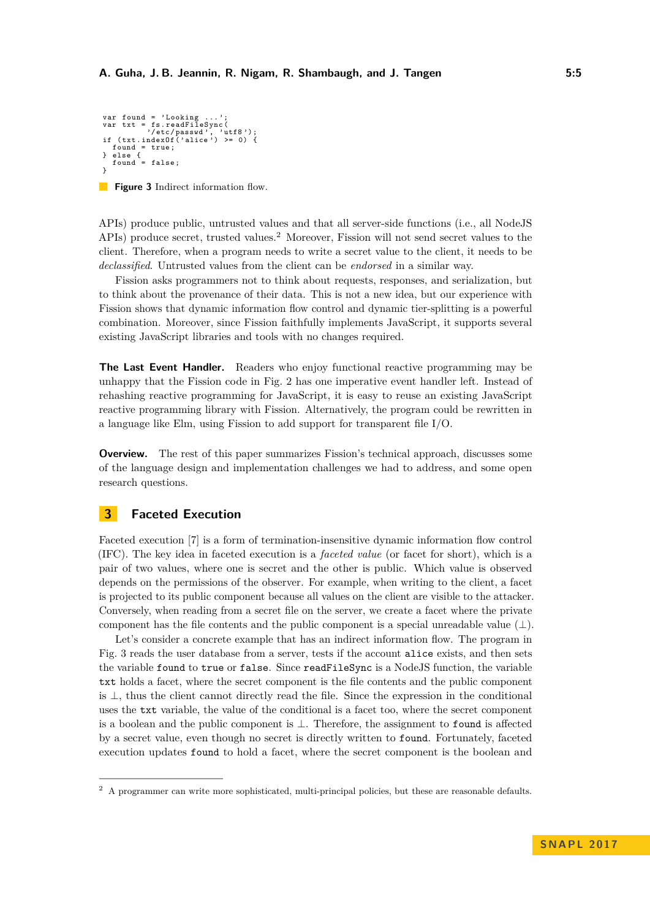```
var found = ' Looking ... ';
var txt = fs . readFileSync (
'/ etc / passwd ' , 'utf8 ');
if ( txt . indexOf (' alice ') >= 0) {
   found = true;} else {
found = false ;
}
```
**Figure 3** Indirect information flow.

APIs) produce public, untrusted values and that all server-side functions (i.e., all NodeJS APIs) produce secret, trusted values.[2](#page-4-0) Moreover, Fission will not send secret values to the client. Therefore, when a program needs to write a secret value to the client, it needs to be *declassified*. Untrusted values from the client can be *endorsed* in a similar way.

Fission asks programmers not to think about requests, responses, and serialization, but to think about the provenance of their data. This is not a new idea, but our experience with Fission shows that dynamic information flow control and dynamic tier-splitting is a powerful combination. Moreover, since Fission faithfully implements JavaScript, it supports several existing JavaScript libraries and tools with no changes required.

**The Last Event Handler.** Readers who enjoy functional reactive programming may be unhappy that the Fission code in Fig. [2](#page-3-1) has one imperative event handler left. Instead of rehashing reactive programming for JavaScript, it is easy to reuse an existing JavaScript reactive programming library with Fission. Alternatively, the program could be rewritten in a language like Elm, using Fission to add support for transparent file I/O.

**Overview.** The rest of this paper summarizes Fission's technical approach, discusses some of the language design and implementation challenges we had to address, and some open research questions.

## **3 Faceted Execution**

Faceted execution [\[7\]](#page-10-15) is a form of termination-insensitive dynamic information flow control (IFC). The key idea in faceted execution is a *faceted value* (or facet for short), which is a pair of two values, where one is secret and the other is public. Which value is observed depends on the permissions of the observer. For example, when writing to the client, a facet is projected to its public component because all values on the client are visible to the attacker. Conversely, when reading from a secret file on the server, we create a facet where the private component has the file contents and the public component is a special unreadable value  $(\perp)$ .

Let's consider a concrete example that has an indirect information flow. The program in Fig. [3](#page-4-1) reads the user database from a server, tests if the account alice exists, and then sets the variable found to true or false. Since readFileSync is a NodeJS function, the variable txt holds a facet, where the secret component is the file contents and the public component is ⊥, thus the client cannot directly read the file. Since the expression in the conditional uses the txt variable, the value of the conditional is a facet too, where the secret component is a boolean and the public component is ⊥. Therefore, the assignment to found is affected by a secret value, even though no secret is directly written to found. Fortunately, faceted execution updates found to hold a facet, where the secret component is the boolean and

<span id="page-4-0"></span><sup>2</sup> A programmer can write more sophisticated, multi-principal policies, but these are reasonable defaults.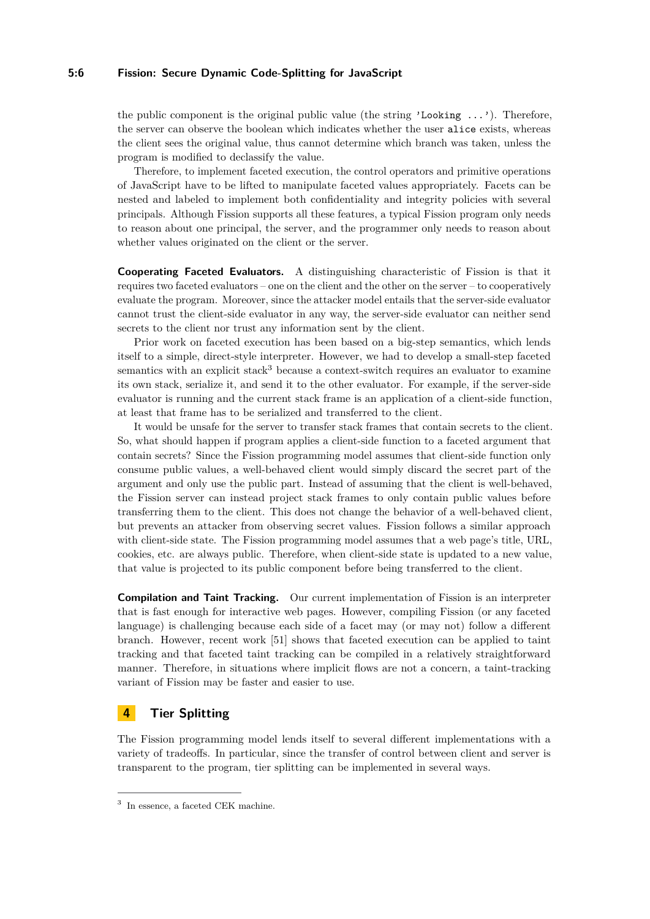#### **5:6 Fission: Secure Dynamic Code-Splitting for JavaScript**

the public component is the original public value (the string 'Looking  $\dots$ '). Therefore, the server can observe the boolean which indicates whether the user alice exists, whereas the client sees the original value, thus cannot determine which branch was taken, unless the program is modified to declassify the value.

Therefore, to implement faceted execution, the control operators and primitive operations of JavaScript have to be lifted to manipulate faceted values appropriately. Facets can be nested and labeled to implement both confidentiality and integrity policies with several principals. Although Fission supports all these features, a typical Fission program only needs to reason about one principal, the server, and the programmer only needs to reason about whether values originated on the client or the server.

**Cooperating Faceted Evaluators.** A distinguishing characteristic of Fission is that it requires two faceted evaluators – one on the client and the other on the server – to cooperatively evaluate the program. Moreover, since the attacker model entails that the server-side evaluator cannot trust the client-side evaluator in any way, the server-side evaluator can neither send secrets to the client nor trust any information sent by the client.

Prior work on faceted execution has been based on a big-step semantics, which lends itself to a simple, direct-style interpreter. However, we had to develop a small-step faceted semantics with an explicit stack<sup>[3](#page-5-0)</sup> because a context-switch requires an evaluator to examine its own stack, serialize it, and send it to the other evaluator. For example, if the server-side evaluator is running and the current stack frame is an application of a client-side function, at least that frame has to be serialized and transferred to the client.

It would be unsafe for the server to transfer stack frames that contain secrets to the client. So, what should happen if program applies a client-side function to a faceted argument that contain secrets? Since the Fission programming model assumes that client-side function only consume public values, a well-behaved client would simply discard the secret part of the argument and only use the public part. Instead of assuming that the client is well-behaved, the Fission server can instead project stack frames to only contain public values before transferring them to the client. This does not change the behavior of a well-behaved client, but prevents an attacker from observing secret values. Fission follows a similar approach with client-side state. The Fission programming model assumes that a web page's title, URL, cookies, etc. are always public. Therefore, when client-side state is updated to a new value, that value is projected to its public component before being transferred to the client.

**Compilation and Taint Tracking.** Our current implementation of Fission is an interpreter that is fast enough for interactive web pages. However, compiling Fission (or any faceted language) is challenging because each side of a facet may (or may not) follow a different branch. However, recent work [\[51\]](#page-12-12) shows that faceted execution can be applied to taint tracking and that faceted taint tracking can be compiled in a relatively straightforward manner. Therefore, in situations where implicit flows are not a concern, a taint-tracking variant of Fission may be faster and easier to use.

## **4 Tier Splitting**

The Fission programming model lends itself to several different implementations with a variety of tradeoffs. In particular, since the transfer of control between client and server is transparent to the program, tier splitting can be implemented in several ways.

<span id="page-5-0"></span><sup>3</sup> In essence, a faceted CEK machine.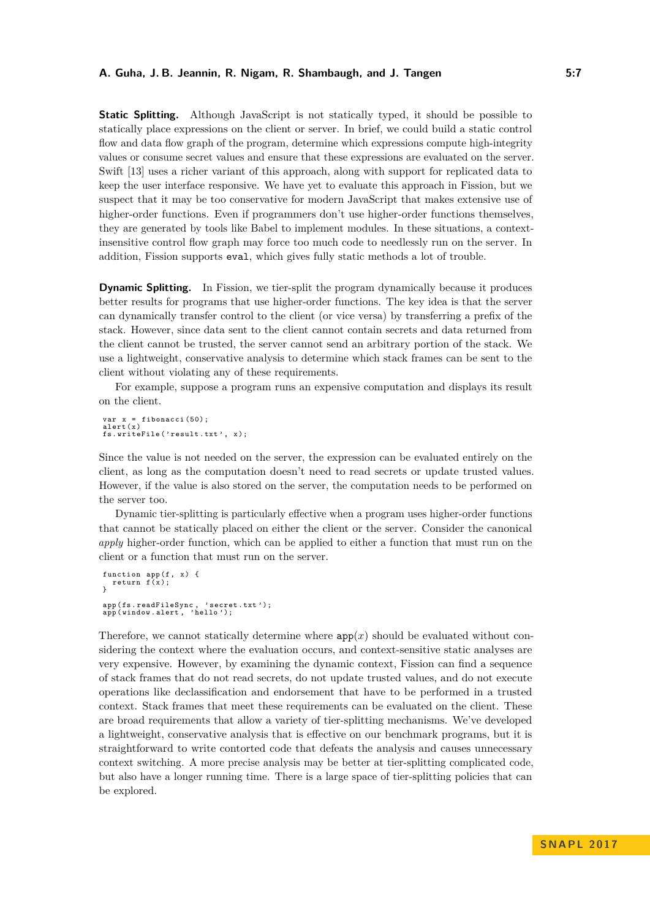**Static Splitting.** Although JavaScript is not statically typed, it should be possible to statically place expressions on the client or server. In brief, we could build a static control flow and data flow graph of the program, determine which expressions compute high-integrity values or consume secret values and ensure that these expressions are evaluated on the server. Swift [\[13\]](#page-10-13) uses a richer variant of this approach, along with support for replicated data to keep the user interface responsive. We have yet to evaluate this approach in Fission, but we suspect that it may be too conservative for modern JavaScript that makes extensive use of higher-order functions. Even if programmers don't use higher-order functions themselves, they are generated by tools like Babel to implement modules. In these situations, a contextinsensitive control flow graph may force too much code to needlessly run on the server. In addition, Fission supports eval, which gives fully static methods a lot of trouble.

**Dynamic Splitting.** In Fission, we tier-split the program dynamically because it produces better results for programs that use higher-order functions. The key idea is that the server can dynamically transfer control to the client (or vice versa) by transferring a prefix of the stack. However, since data sent to the client cannot contain secrets and data returned from the client cannot be trusted, the server cannot send an arbitrary portion of the stack. We use a lightweight, conservative analysis to determine which stack frames can be sent to the client without violating any of these requirements.

For example, suppose a program runs an expensive computation and displays its result on the client.

var x = fibonacci (50); alert (x) fs.writeFile('result.txt', x);

Since the value is not needed on the server, the expression can be evaluated entirely on the client, as long as the computation doesn't need to read secrets or update trusted values. However, if the value is also stored on the server, the computation needs to be performed on the server too.

Dynamic tier-splitting is particularly effective when a program uses higher-order functions that cannot be statically placed on either the client or the server. Consider the canonical *apply* higher-order function, which can be applied to either a function that must run on the client or a function that must run on the server.

```
function app(f, x) {<br>return f(x);
}
app ( fs . readFileSync , ' secret . txt ');
app ( window . alert , ' hello ');
```
Therefore, we cannot statically determine where  $app(x)$  should be evaluated without considering the context where the evaluation occurs, and context-sensitive static analyses are very expensive. However, by examining the dynamic context, Fission can find a sequence of stack frames that do not read secrets, do not update trusted values, and do not execute operations like declassification and endorsement that have to be performed in a trusted context. Stack frames that meet these requirements can be evaluated on the client. These are broad requirements that allow a variety of tier-splitting mechanisms. We've developed a lightweight, conservative analysis that is effective on our benchmark programs, but it is straightforward to write contorted code that defeats the analysis and causes unnecessary context switching. A more precise analysis may be better at tier-splitting complicated code, but also have a longer running time. There is a large space of tier-splitting policies that can be explored.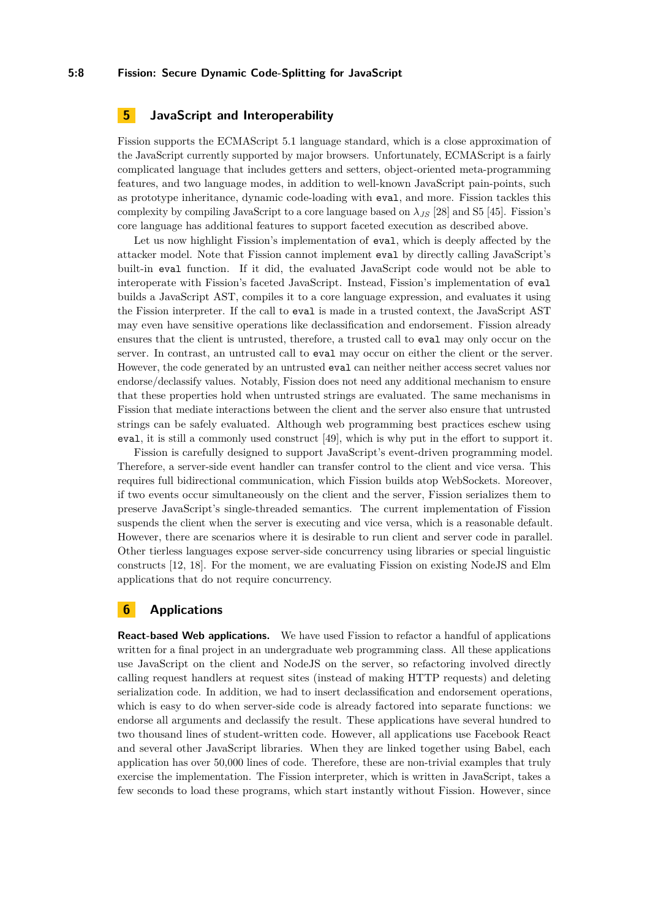## **5 JavaScript and Interoperability**

Fission supports the ECMAScript 5.1 language standard, which is a close approximation of the JavaScript currently supported by major browsers. Unfortunately, ECMAScript is a fairly complicated language that includes getters and setters, object-oriented meta-programming features, and two language modes, in addition to well-known JavaScript pain-points, such as prototype inheritance, dynamic code-loading with eval, and more. Fission tackles this complexity by compiling JavaScript to a core language based on  $\lambda_{JS}$  [\[28\]](#page-11-11) and S5 [\[45\]](#page-12-10). Fission's core language has additional features to support faceted execution as described above.

Let us now highlight Fission's implementation of eval, which is deeply affected by the attacker model. Note that Fission cannot implement eval by directly calling JavaScript's built-in eval function. If it did, the evaluated JavaScript code would not be able to interoperate with Fission's faceted JavaScript. Instead, Fission's implementation of eval builds a JavaScript AST, compiles it to a core language expression, and evaluates it using the Fission interpreter. If the call to eval is made in a trusted context, the JavaScript AST may even have sensitive operations like declassification and endorsement. Fission already ensures that the client is untrusted, therefore, a trusted call to eval may only occur on the server. In contrast, an untrusted call to eval may occur on either the client or the server. However, the code generated by an untrusted eval can neither neither access secret values nor endorse/declassify values. Notably, Fission does not need any additional mechanism to ensure that these properties hold when untrusted strings are evaluated. The same mechanisms in Fission that mediate interactions between the client and the server also ensure that untrusted strings can be safely evaluated. Although web programming best practices eschew using eval, it is still a commonly used construct [\[49\]](#page-12-9), which is why put in the effort to support it.

Fission is carefully designed to support JavaScript's event-driven programming model. Therefore, a server-side event handler can transfer control to the client and vice versa. This requires full bidirectional communication, which Fission builds atop WebSockets. Moreover, if two events occur simultaneously on the client and the server, Fission serializes them to preserve JavaScript's single-threaded semantics. The current implementation of Fission suspends the client when the server is executing and vice versa, which is a reasonable default. However, there are scenarios where it is desirable to run client and server code in parallel. Other tierless languages expose server-side concurrency using libraries or special linguistic constructs [\[12,](#page-10-11) [18\]](#page-10-10). For the moment, we are evaluating Fission on existing NodeJS and Elm applications that do not require concurrency.

## <span id="page-7-0"></span>**6 Applications**

**React-based Web applications.** We have used Fission to refactor a handful of applications written for a final project in an undergraduate web programming class. All these applications use JavaScript on the client and NodeJS on the server, so refactoring involved directly calling request handlers at request sites (instead of making HTTP requests) and deleting serialization code. In addition, we had to insert declassification and endorsement operations, which is easy to do when server-side code is already factored into separate functions: we endorse all arguments and declassify the result. These applications have several hundred to two thousand lines of student-written code. However, all applications use Facebook React and several other JavaScript libraries. When they are linked together using Babel, each application has over 50,000 lines of code. Therefore, these are non-trivial examples that truly exercise the implementation. The Fission interpreter, which is written in JavaScript, takes a few seconds to load these programs, which start instantly without Fission. However, since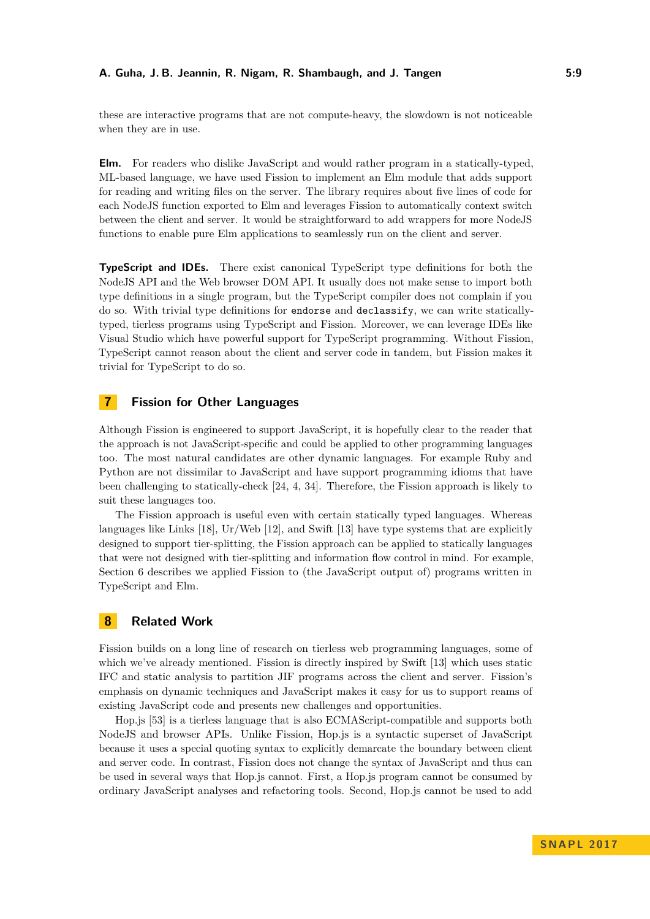these are interactive programs that are not compute-heavy, the slowdown is not noticeable when they are in use.

**Elm.** For readers who dislike JavaScript and would rather program in a statically-typed, ML-based language, we have used Fission to implement an Elm module that adds support for reading and writing files on the server. The library requires about five lines of code for each NodeJS function exported to Elm and leverages Fission to automatically context switch between the client and server. It would be straightforward to add wrappers for more NodeJS functions to enable pure Elm applications to seamlessly run on the client and server.

**TypeScript and IDEs.** There exist canonical TypeScript type definitions for both the NodeJS API and the Web browser DOM API. It usually does not make sense to import both type definitions in a single program, but the TypeScript compiler does not complain if you do so. With trivial type definitions for endorse and declassify, we can write staticallytyped, tierless programs using TypeScript and Fission. Moreover, we can leverage IDEs like Visual Studio which have powerful support for TypeScript programming. Without Fission, TypeScript cannot reason about the client and server code in tandem, but Fission makes it trivial for TypeScript to do so.

## **7 Fission for Other Languages**

Although Fission is engineered to support JavaScript, it is hopefully clear to the reader that the approach is not JavaScript-specific and could be applied to other programming languages too. The most natural candidates are other dynamic languages. For example Ruby and Python are not dissimilar to JavaScript and have support programming idioms that have been challenging to statically-check [\[24,](#page-10-9) [4,](#page-9-2) [34\]](#page-11-17). Therefore, the Fission approach is likely to suit these languages too.

The Fission approach is useful even with certain statically typed languages. Whereas languages like Links  $[18]$ , Ur/Web  $[12]$ , and Swift  $[13]$  have type systems that are explicitly designed to support tier-splitting, the Fission approach can be applied to statically languages that were not designed with tier-splitting and information flow control in mind. For example, Section [6](#page-7-0) describes we applied Fission to (the JavaScript output of) programs written in TypeScript and Elm.

## **8 Related Work**

Fission builds on a long line of research on tierless web programming languages, some of which we've already mentioned. Fission is directly inspired by Swift [\[13\]](#page-10-13) which uses static IFC and static analysis to partition JIF programs across the client and server. Fission's emphasis on dynamic techniques and JavaScript makes it easy for us to support reams of existing JavaScript code and presents new challenges and opportunities.

Hop.js [\[53\]](#page-12-11) is a tierless language that is also ECMAScript-compatible and supports both NodeJS and browser APIs. Unlike Fission, Hop.js is a syntactic superset of JavaScript because it uses a special quoting syntax to explicitly demarcate the boundary between client and server code. In contrast, Fission does not change the syntax of JavaScript and thus can be used in several ways that Hop.js cannot. First, a Hop.js program cannot be consumed by ordinary JavaScript analyses and refactoring tools. Second, Hop.js cannot be used to add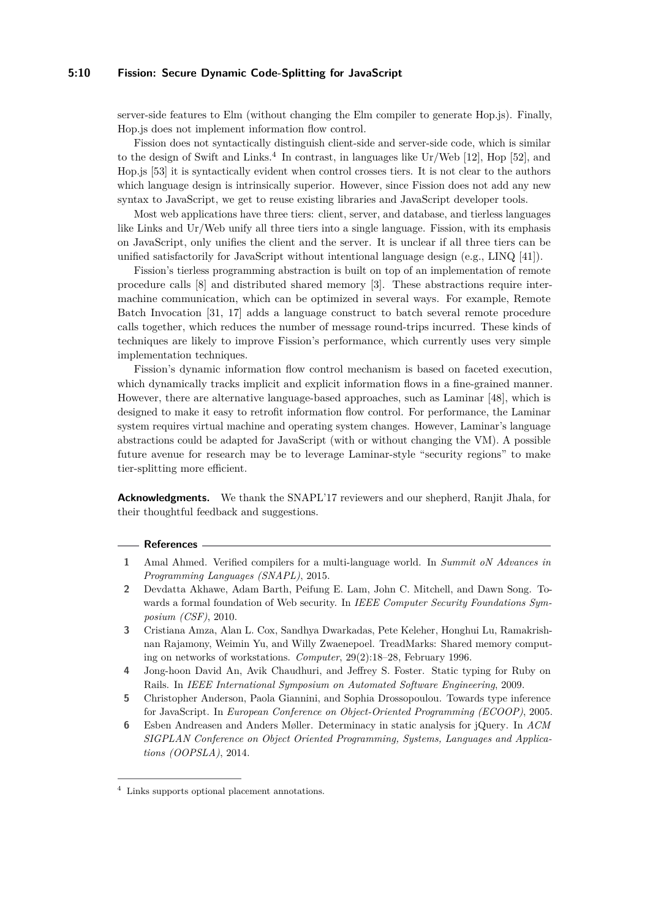#### **5:10 Fission: Secure Dynamic Code-Splitting for JavaScript**

server-side features to Elm (without changing the Elm compiler to generate Hop.js). Finally, Hop.js does not implement information flow control.

Fission does not syntactically distinguish client-side and server-side code, which is similar to the design of Swift and Links.<sup>[4](#page-9-5)</sup> In contrast, in languages like  $Ur/Web$  [\[12\]](#page-10-11), Hop [\[52\]](#page-12-13), and Hop.js [\[53\]](#page-12-11) it is syntactically evident when control crosses tiers. It is not clear to the authors which language design is intrinsically superior. However, since Fission does not add any new syntax to JavaScript, we get to reuse existing libraries and JavaScript developer tools.

Most web applications have three tiers: client, server, and database, and tierless languages like Links and Ur/Web unify all three tiers into a single language. Fission, with its emphasis on JavaScript, only unifies the client and the server. It is unclear if all three tiers can be unified satisfactorily for JavaScript without intentional language design (e.g., LINQ [\[41\]](#page-11-18)).

Fission's tierless programming abstraction is built on top of an implementation of remote procedure calls [\[8\]](#page-10-16) and distributed shared memory [\[3\]](#page-9-6). These abstractions require intermachine communication, which can be optimized in several ways. For example, Remote Batch Invocation [\[31,](#page-11-19) [17\]](#page-10-17) adds a language construct to batch several remote procedure calls together, which reduces the number of message round-trips incurred. These kinds of techniques are likely to improve Fission's performance, which currently uses very simple implementation techniques.

Fission's dynamic information flow control mechanism is based on faceted execution, which dynamically tracks implicit and explicit information flows in a fine-grained manner. However, there are alternative language-based approaches, such as Laminar [\[48\]](#page-12-14), which is designed to make it easy to retrofit information flow control. For performance, the Laminar system requires virtual machine and operating system changes. However, Laminar's language abstractions could be adapted for JavaScript (with or without changing the VM). A possible future avenue for research may be to leverage Laminar-style "security regions" to make tier-splitting more efficient.

**Acknowledgments.** We thank the SNAPL'17 reviewers and our shepherd, Ranjit Jhala, for their thoughtful feedback and suggestions.

#### **References**

- <span id="page-9-3"></span>**1** Amal Ahmed. Verified compilers for a multi-language world. In *Summit oN Advances in Programming Languages (SNAPL)*, 2015.
- <span id="page-9-4"></span>**2** Devdatta Akhawe, Adam Barth, Peifung E. Lam, John C. Mitchell, and Dawn Song. Towards a formal foundation of Web security. In *IEEE Computer Security Foundations Symposium (CSF)*, 2010.
- <span id="page-9-6"></span>**3** Cristiana Amza, Alan L. Cox, Sandhya Dwarkadas, Pete Keleher, Honghui Lu, Ramakrishnan Rajamony, Weimin Yu, and Willy Zwaenepoel. TreadMarks: Shared memory computing on networks of workstations. *Computer*, 29(2):18–28, February 1996.
- <span id="page-9-2"></span>**4** Jong-hoon David An, Avik Chaudhuri, and Jeffrey S. Foster. Static typing for Ruby on Rails. In *IEEE International Symposium on Automated Software Engineering*, 2009.
- <span id="page-9-0"></span>**5** Christopher Anderson, Paola Giannini, and Sophia Drossopoulou. Towards type inference for JavaScript. In *European Conference on Object-Oriented Programming (ECOOP)*, 2005.
- <span id="page-9-1"></span>**6** Esben Andreasen and Anders Møller. Determinacy in static analysis for jQuery. In *ACM SIGPLAN Conference on Object Oriented Programming, Systems, Languages and Applications (OOPSLA)*, 2014.

<span id="page-9-5"></span><sup>4</sup> Links supports optional placement annotations.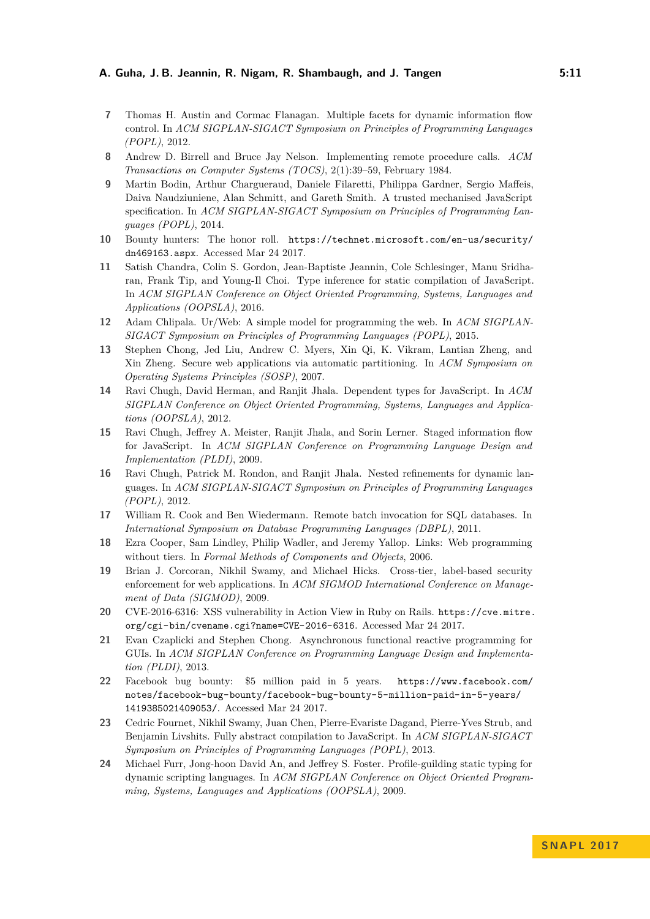- <span id="page-10-15"></span>**7** Thomas H. Austin and Cormac Flanagan. Multiple facets for dynamic information flow control. In *ACM SIGPLAN-SIGACT Symposium on Principles of Programming Languages (POPL)*, 2012.
- <span id="page-10-16"></span>**8** Andrew D. Birrell and Bruce Jay Nelson. Implementing remote procedure calls. *ACM Transactions on Computer Systems (TOCS)*, 2(1):39–59, February 1984.
- <span id="page-10-8"></span>**9** Martin Bodin, Arthur Chargueraud, Daniele Filaretti, Philippa Gardner, Sergio Maffeis, Daiva Naudziuniene, Alan Schmitt, and Gareth Smith. A trusted mechanised JavaScript specification. In *ACM SIGPLAN-SIGACT Symposium on Principles of Programming Languages (POPL)*, 2014.
- <span id="page-10-2"></span>**10** Bounty hunters: The honor roll. [https://technet.microsoft.com/en-us/security/](https://technet.microsoft.com/en-us/security/dn469163.aspx) [dn469163.aspx](https://technet.microsoft.com/en-us/security/dn469163.aspx). Accessed Mar 24 2017.
- <span id="page-10-5"></span>**11** Satish Chandra, Colin S. Gordon, Jean-Baptiste Jeannin, Cole Schlesinger, Manu Sridharan, Frank Tip, and Young-Il Choi. Type inference for static compilation of JavaScript. In *ACM SIGPLAN Conference on Object Oriented Programming, Systems, Languages and Applications (OOPSLA)*, 2016.
- <span id="page-10-11"></span>**12** Adam Chlipala. Ur/Web: A simple model for programming the web. In *ACM SIGPLAN-SIGACT Symposium on Principles of Programming Languages (POPL)*, 2015.
- <span id="page-10-13"></span>**13** Stephen Chong, Jed Liu, Andrew C. Myers, Xin Qi, K. Vikram, Lantian Zheng, and Xin Zheng. Secure web applications via automatic partitioning. In *ACM Symposium on Operating Systems Principles (SOSP)*, 2007.
- <span id="page-10-3"></span>**14** Ravi Chugh, David Herman, and Ranjit Jhala. Dependent types for JavaScript. In *ACM SIGPLAN Conference on Object Oriented Programming, Systems, Languages and Applications (OOPSLA)*, 2012.
- <span id="page-10-6"></span>**15** Ravi Chugh, Jeffrey A. Meister, Ranjit Jhala, and Sorin Lerner. Staged information flow for JavaScript. In *ACM SIGPLAN Conference on Programming Language Design and Implementation (PLDI)*, 2009.
- <span id="page-10-4"></span>**16** Ravi Chugh, Patrick M. Rondon, and Ranjit Jhala. Nested refinements for dynamic languages. In *ACM SIGPLAN-SIGACT Symposium on Principles of Programming Languages (POPL)*, 2012.
- <span id="page-10-17"></span>**17** William R. Cook and Ben Wiedermann. Remote batch invocation for SQL databases. In *International Symposium on Database Programming Languages (DBPL)*, 2011.
- <span id="page-10-10"></span>**18** Ezra Cooper, Sam Lindley, Philip Wadler, and Jeremy Yallop. Links: Web programming without tiers. In *Formal Methods of Components and Objects*, 2006.
- <span id="page-10-12"></span>**19** Brian J. Corcoran, Nikhil Swamy, and Michael Hicks. Cross-tier, label-based security enforcement for web applications. In *ACM SIGMOD International Conference on Management of Data (SIGMOD)*, 2009.
- <span id="page-10-0"></span>**20** CVE-2016-6316: XSS vulnerability in Action View in Ruby on Rails. [https://cve.mitre.](https://cve.mitre.org/cgi-bin/cvename.cgi?name=CVE-2016-6316) [org/cgi-bin/cvename.cgi?name=CVE-2016-6316](https://cve.mitre.org/cgi-bin/cvename.cgi?name=CVE-2016-6316). Accessed Mar 24 2017.
- <span id="page-10-14"></span>**21** Evan Czaplicki and Stephen Chong. Asynchronous functional reactive programming for GUIs. In *ACM SIGPLAN Conference on Programming Language Design and Implementation (PLDI)*, 2013.
- <span id="page-10-1"></span>**22** Facebook bug bounty: \$5 million paid in 5 years. [https://www.facebook.com/](https://www.facebook.com/notes/facebook-bug-bounty/facebook-bug-bounty-5-million-paid-in-5-years/1419385021409053/) [notes/facebook-bug-bounty/facebook-bug-bounty-5-million-paid-in-5-years/](https://www.facebook.com/notes/facebook-bug-bounty/facebook-bug-bounty-5-million-paid-in-5-years/1419385021409053/) [1419385021409053/](https://www.facebook.com/notes/facebook-bug-bounty/facebook-bug-bounty-5-million-paid-in-5-years/1419385021409053/). Accessed Mar 24 2017.
- <span id="page-10-7"></span>**23** Cedric Fournet, Nikhil Swamy, Juan Chen, Pierre-Evariste Dagand, Pierre-Yves Strub, and Benjamin Livshits. Fully abstract compilation to JavaScript. In *ACM SIGPLAN-SIGACT Symposium on Principles of Programming Languages (POPL)*, 2013.
- <span id="page-10-9"></span>**24** Michael Furr, Jong-hoon David An, and Jeffrey S. Foster. Profile-guilding static typing for dynamic scripting languages. In *ACM SIGPLAN Conference on Object Oriented Programming, Systems, Languages and Applications (OOPSLA)*, 2009.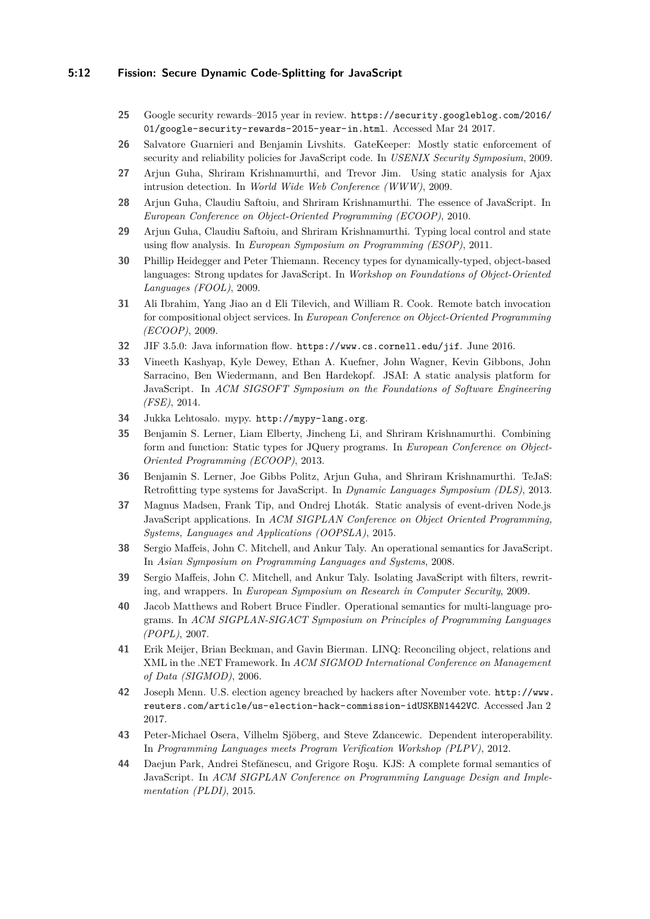## **5:12 Fission: Secure Dynamic Code-Splitting for JavaScript**

- <span id="page-11-0"></span>**25** Google security rewards–2015 year in review. [https://security.googleblog.com/2016/](https://security.googleblog.com/2016/01/google-security-rewards-2015-year-in.html) [01/google-security-rewards-2015-year-in.html](https://security.googleblog.com/2016/01/google-security-rewards-2015-year-in.html). Accessed Mar 24 2017.
- <span id="page-11-8"></span>**26** Salvatore Guarnieri and Benjamin Livshits. GateKeeper: Mostly static enforcement of security and reliability policies for JavaScript code. In *USENIX Security Symposium*, 2009.
- <span id="page-11-7"></span>**27** Arjun Guha, Shriram Krishnamurthi, and Trevor Jim. Using static analysis for Ajax intrusion detection. In *World Wide Web Conference (WWW)*, 2009.
- <span id="page-11-11"></span>**28** Arjun Guha, Claudiu Saftoiu, and Shriram Krishnamurthi. The essence of JavaScript. In *European Conference on Object-Oriented Programming (ECOOP)*, 2010.
- <span id="page-11-4"></span>**29** Arjun Guha, Claudiu Saftoiu, and Shriram Krishnamurthi. Typing local control and state using flow analysis. In *European Symposium on Programming (ESOP)*, 2011.
- <span id="page-11-5"></span>**30** Phillip Heidegger and Peter Thiemann. Recency types for dynamically-typed, object-based languages: Strong updates for JavaScript. In *Workshop on Foundations of Object-Oriented Languages (FOOL)*, 2009.
- <span id="page-11-19"></span>**31** Ali Ibrahim, Yang Jiao an d Eli Tilevich, and William R. Cook. Remote batch invocation for compositional object services. In *European Conference on Object-Oriented Programming (ECOOP)*, 2009.
- <span id="page-11-16"></span>**32** JIF 3.5.0: Java information flow. <https://www.cs.cornell.edu/jif>. June 2016.
- <span id="page-11-9"></span>**33** Vineeth Kashyap, Kyle Dewey, Ethan A. Kuefner, John Wagner, Kevin Gibbons, John Sarracino, Ben Wiedermann, and Ben Hardekopf. JSAI: A static analysis platform for JavaScript. In *ACM SIGSOFT Symposium on the Foundations of Software Engineering (FSE)*, 2014.
- <span id="page-11-17"></span>**34** Jukka Lehtosalo. mypy. <http://mypy-lang.org>.
- <span id="page-11-3"></span>**35** Benjamin S. Lerner, Liam Elberty, Jincheng Li, and Shriram Krishnamurthi. Combining form and function: Static types for JQuery programs. In *European Conference on Object-Oriented Programming (ECOOP)*, 2013.
- <span id="page-11-2"></span>**36** Benjamin S. Lerner, Joe Gibbs Politz, Arjun Guha, and Shriram Krishnamurthi. TeJaS: Retrofitting type systems for JavaScript. In *Dynamic Languages Symposium (DLS)*, 2013.
- <span id="page-11-6"></span>**37** Magnus Madsen, Frank Tip, and Ondrej Lhoták. Static analysis of event-driven Node.js JavaScript applications. In *ACM SIGPLAN Conference on Object Oriented Programming, Systems, Languages and Applications (OOPSLA)*, 2015.
- <span id="page-11-10"></span>**38** Sergio Maffeis, John C. Mitchell, and Ankur Taly. An operational semantics for JavaScript. In *Asian Symposium on Programming Languages and Systems*, 2008.
- <span id="page-11-12"></span>**39** Sergio Maffeis, John C. Mitchell, and Ankur Taly. Isolating JavaScript with filters, rewriting, and wrappers. In *European Symposium on Research in Computer Security*, 2009.
- <span id="page-11-14"></span>**40** Jacob Matthews and Robert Bruce Findler. Operational semantics for multi-language programs. In *ACM SIGPLAN-SIGACT Symposium on Principles of Programming Languages (POPL)*, 2007.
- <span id="page-11-18"></span>**41** Erik Meijer, Brian Beckman, and Gavin Bierman. LINQ: Reconciling object, relations and XML in the .NET Framework. In *ACM SIGMOD International Conference on Management of Data (SIGMOD)*, 2006.
- <span id="page-11-1"></span>**42** Joseph Menn. U.S. election agency breached by hackers after November vote. [http://www.](http://www.reuters.com/article/us-election-hack-commission-idUSKBN1442VC) [reuters.com/article/us-election-hack-commission-idUSKBN1442VC](http://www.reuters.com/article/us-election-hack-commission-idUSKBN1442VC). Accessed Jan 2 2017.
- <span id="page-11-15"></span>**43** Peter-Michael Osera, Vilhelm Sjöberg, and Steve Zdancewic. Dependent interoperability. In *Programming Languages meets Program Verification Workshop (PLPV)*, 2012.
- <span id="page-11-13"></span>**44** Daejun Park, Andrei Stefănescu, and Grigore Roşu. KJS: A complete formal semantics of JavaScript. In *ACM SIGPLAN Conference on Programming Language Design and Implementation (PLDI)*, 2015.